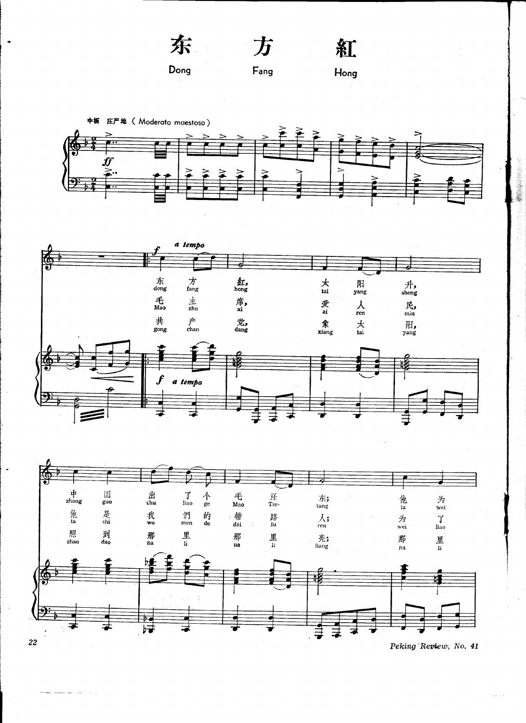

Fang

方

Hong

紅







Peking Review, No. 41